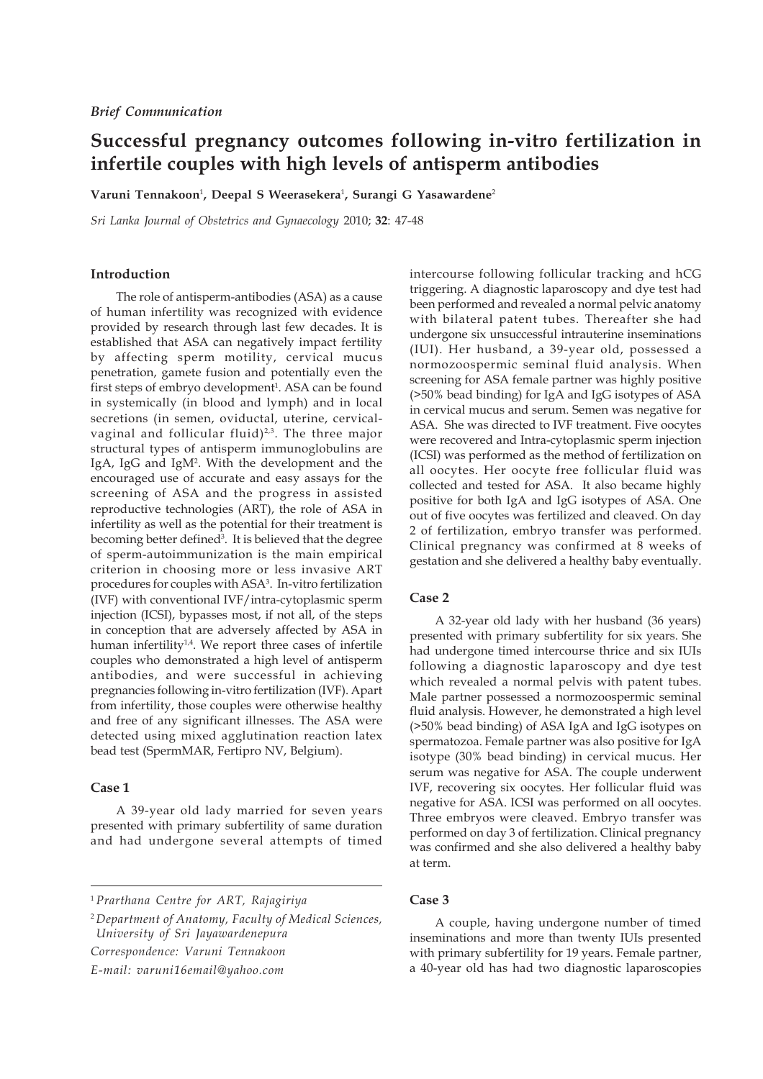# **Successful pregnancy outcomes following in-vitro fertilization in infertile couples with high levels of antisperm antibodies**

**Varuni Tennakoon**<sup>1</sup> **, Deepal S Weerasekera**<sup>1</sup> **, Surangi G Yasawardene**<sup>2</sup>

*Sri Lanka Journal of Obstetrics and Gynaecology* 2010; **32**: 47-48

## **Introduction**

The role of antisperm-antibodies (ASA) as a cause of human infertility was recognized with evidence provided by research through last few decades. It is established that ASA can negatively impact fertility by affecting sperm motility, cervical mucus penetration, gamete fusion and potentially even the first steps of embryo development<sup>1</sup>. ASA can be found in systemically (in blood and lymph) and in local secretions (in semen, oviductal, uterine, cervicalvaginal and follicular fluid)<sup>2,3</sup>. The three major structural types of antisperm immunoglobulins are IgA, IgG and IgM2 . With the development and the encouraged use of accurate and easy assays for the screening of ASA and the progress in assisted reproductive technologies (ART), the role of ASA in infertility as well as the potential for their treatment is becoming better defined<sup>3</sup>. It is believed that the degree of sperm-autoimmunization is the main empirical criterion in choosing more or less invasive ART procedures for couples with ASA3 . In-vitro fertilization (IVF) with conventional IVF/intra-cytoplasmic sperm injection (ICSI), bypasses most, if not all, of the steps in conception that are adversely affected by ASA in human infertility<sup>1,4</sup>. We report three cases of infertile couples who demonstrated a high level of antisperm antibodies, and were successful in achieving pregnancies following in-vitro fertilization (IVF). Apart from infertility, those couples were otherwise healthy and free of any significant illnesses. The ASA were detected using mixed agglutination reaction latex bead test (SpermMAR, Fertipro NV, Belgium).

#### **Case 1**

A 39-year old lady married for seven years presented with primary subfertility of same duration and had undergone several attempts of timed

<sup>2</sup> *Department of Anatomy, Faculty of Medical Sciences, University of Sri Jayawardenepura Correspondence: Varuni Tennakoon*

*E-mail: varuni16email@yahoo.com*

intercourse following follicular tracking and hCG triggering. A diagnostic laparoscopy and dye test had been performed and revealed a normal pelvic anatomy with bilateral patent tubes. Thereafter she had undergone six unsuccessful intrauterine inseminations (IUI). Her husband, a 39-year old, possessed a normozoospermic seminal fluid analysis. When screening for ASA female partner was highly positive (>50% bead binding) for IgA and IgG isotypes of ASA in cervical mucus and serum. Semen was negative for ASA. She was directed to IVF treatment. Five oocytes were recovered and Intra-cytoplasmic sperm injection (ICSI) was performed as the method of fertilization on all oocytes. Her oocyte free follicular fluid was collected and tested for ASA. It also became highly positive for both IgA and IgG isotypes of ASA. One out of five oocytes was fertilized and cleaved. On day 2 of fertilization, embryo transfer was performed. Clinical pregnancy was confirmed at 8 weeks of gestation and she delivered a healthy baby eventually.

#### **Case 2**

A 32-year old lady with her husband (36 years) presented with primary subfertility for six years. She had undergone timed intercourse thrice and six IUIs following a diagnostic laparoscopy and dye test which revealed a normal pelvis with patent tubes. Male partner possessed a normozoospermic seminal fluid analysis. However, he demonstrated a high level (>50% bead binding) of ASA IgA and IgG isotypes on spermatozoa. Female partner was also positive for IgA isotype (30% bead binding) in cervical mucus. Her serum was negative for ASA. The couple underwent IVF, recovering six oocytes. Her follicular fluid was negative for ASA. ICSI was performed on all oocytes. Three embryos were cleaved. Embryo transfer was performed on day 3 of fertilization. Clinical pregnancy was confirmed and she also delivered a healthy baby at term.

#### **Case 3**

A couple, having undergone number of timed inseminations and more than twenty IUIs presented with primary subfertility for 19 years. Female partner, a 40-year old has had two diagnostic laparoscopies

<sup>1</sup> *Prarthana Centre for ART, Rajagiriya*